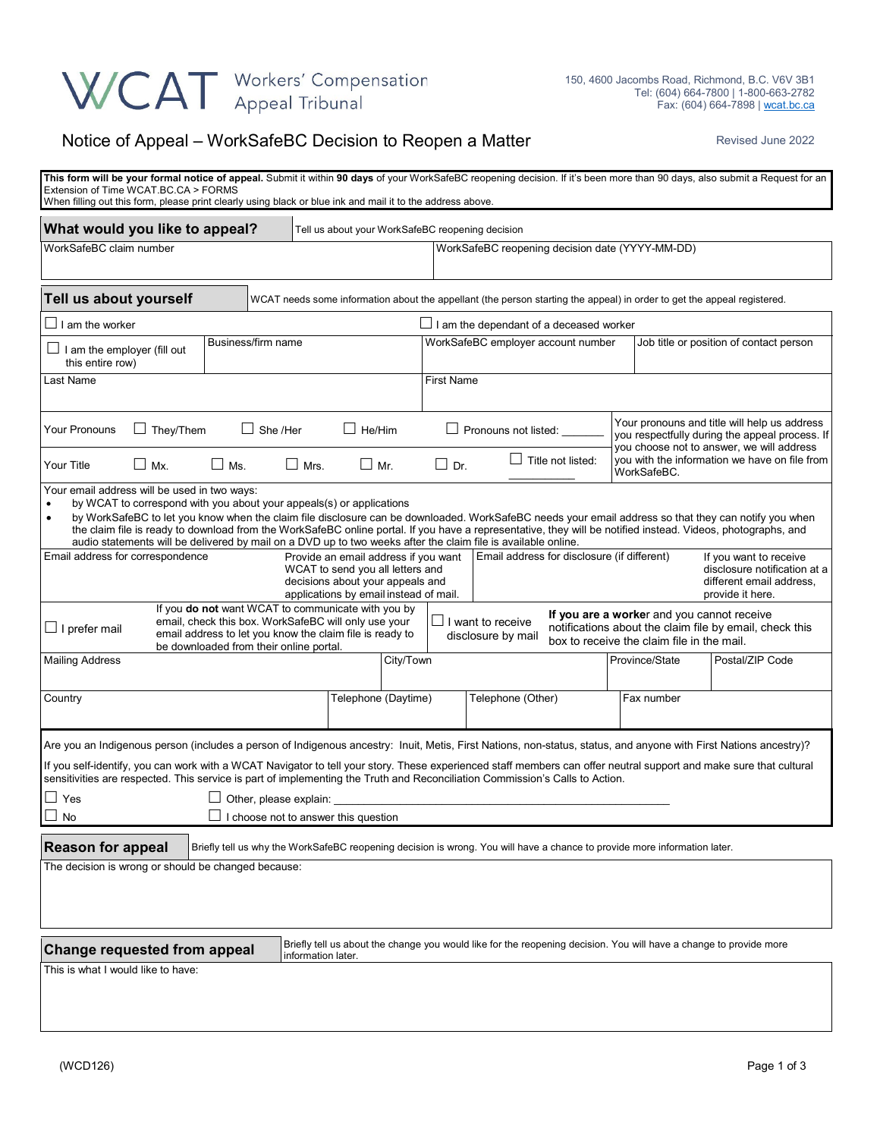## WCAT Workers' Compensation

## Notice of Appeal – WorkSafeBC Decision to Reopen a Matter Revised June 2022

| This form will be your formal notice of appeal. Submit it within 90 days of your WorkSafeBC reopening decision. If it's been more than 90 days, also submit a Request for an<br>Extension of Time WCAT.BC.CA > FORMS<br>When filling out this form, please print clearly using black or blue ink and mail it to the address above.                                                                                                                                                                                                                                         |                    |                    |                                                                                                                |                                      |                                                                                                                           |                                         |                                                                                                                                             |                                                                                                        |  |  |
|----------------------------------------------------------------------------------------------------------------------------------------------------------------------------------------------------------------------------------------------------------------------------------------------------------------------------------------------------------------------------------------------------------------------------------------------------------------------------------------------------------------------------------------------------------------------------|--------------------|--------------------|----------------------------------------------------------------------------------------------------------------|--------------------------------------|---------------------------------------------------------------------------------------------------------------------------|-----------------------------------------|---------------------------------------------------------------------------------------------------------------------------------------------|--------------------------------------------------------------------------------------------------------|--|--|
| What would you like to appeal?                                                                                                                                                                                                                                                                                                                                                                                                                                                                                                                                             |                    |                    | Tell us about your WorkSafeBC reopening decision                                                               |                                      |                                                                                                                           |                                         |                                                                                                                                             |                                                                                                        |  |  |
| WorkSafeBC claim number                                                                                                                                                                                                                                                                                                                                                                                                                                                                                                                                                    |                    |                    |                                                                                                                |                                      | WorkSafeBC reopening decision date (YYYY-MM-DD)                                                                           |                                         |                                                                                                                                             |                                                                                                        |  |  |
| Tell us about yourself                                                                                                                                                                                                                                                                                                                                                                                                                                                                                                                                                     |                    |                    |                                                                                                                |                                      | WCAT needs some information about the appellant (the person starting the appeal) in order to get the appeal registered.   |                                         |                                                                                                                                             |                                                                                                        |  |  |
| I am the worker<br>$\Box$ I am the dependant of a deceased worker                                                                                                                                                                                                                                                                                                                                                                                                                                                                                                          |                    |                    |                                                                                                                |                                      |                                                                                                                           |                                         |                                                                                                                                             |                                                                                                        |  |  |
| $\Box$ I am the employer (fill out<br>this entire row)                                                                                                                                                                                                                                                                                                                                                                                                                                                                                                                     | Business/firm name |                    |                                                                                                                | WorkSafeBC employer account number   |                                                                                                                           | Job title or position of contact person |                                                                                                                                             |                                                                                                        |  |  |
| Last Name                                                                                                                                                                                                                                                                                                                                                                                                                                                                                                                                                                  |                    |                    |                                                                                                                |                                      | <b>First Name</b>                                                                                                         |                                         |                                                                                                                                             |                                                                                                        |  |  |
| <b>Your Pronouns</b><br>$\Box$ They/Them                                                                                                                                                                                                                                                                                                                                                                                                                                                                                                                                   | $\Box$ She /Her    |                    | $\Box$ He/Him                                                                                                  |                                      | $\Box$ Pronouns not listed:                                                                                               |                                         | Your pronouns and title will help us address<br>you respectfully during the appeal process. If<br>you choose not to answer, we will address |                                                                                                        |  |  |
| $\Box$ Mx.<br>Your Title                                                                                                                                                                                                                                                                                                                                                                                                                                                                                                                                                   | $\Box$ Ms.         | $\Box$ Mrs.        | $\Box$ Mr.                                                                                                     | $\Box$ Dr.                           | $\Box$ Title not listed:                                                                                                  |                                         | you with the information we have on file from<br>WorkSafeBC.                                                                                |                                                                                                        |  |  |
| Your email address will be used in two ways:<br>by WCAT to correspond with you about your appeals(s) or applications<br>by WorkSafeBC to let you know when the claim file disclosure can be downloaded. WorkSafeBC needs your email address so that they can notify you when<br>$\bullet$<br>the claim file is ready to download from the WorkSafeBC online portal. If you have a representative, they will be notified instead. Videos, photographs, and<br>audio statements will be delivered by mail on a DVD up to two weeks after the claim file is available online. |                    |                    |                                                                                                                |                                      |                                                                                                                           |                                         |                                                                                                                                             |                                                                                                        |  |  |
| Email address for correspondence                                                                                                                                                                                                                                                                                                                                                                                                                                                                                                                                           |                    |                    | WCAT to send you all letters and<br>decisions about your appeals and<br>applications by email instead of mail. | Provide an email address if you want | Email address for disclosure (if different)                                                                               |                                         |                                                                                                                                             | If you want to receive<br>disclosure notification at a<br>different email address,<br>provide it here. |  |  |
| If you do not want WCAT to communicate with you by<br>If you are a worker and you cannot receive<br>email, check this box. WorkSafeBC will only use your<br>I want to receive<br>notifications about the claim file by email, check this<br>$\Box$ I prefer mail<br>email address to let you know the claim file is ready to<br>disclosure by mail<br>box to receive the claim file in the mail.<br>be downloaded from their online portal.                                                                                                                                |                    |                    |                                                                                                                |                                      |                                                                                                                           |                                         |                                                                                                                                             |                                                                                                        |  |  |
| <b>Mailing Address</b>                                                                                                                                                                                                                                                                                                                                                                                                                                                                                                                                                     |                    |                    |                                                                                                                | City/Town                            |                                                                                                                           |                                         | Province/State                                                                                                                              | Postal/ZIP Code                                                                                        |  |  |
| Country                                                                                                                                                                                                                                                                                                                                                                                                                                                                                                                                                                    |                    |                    | Telephone (Daytime)                                                                                            |                                      | Telephone (Other)                                                                                                         |                                         | Fax number                                                                                                                                  |                                                                                                        |  |  |
| Are you an Indigenous person (includes a person of Indigenous ancestry: Inuit, Metis, First Nations, non-status, status, and anyone with First Nations ancestry)?<br>If you self-identify, you can work with a WCAT Navigator to tell your story. These experienced staff members can offer neutral support and make sure that cultural<br>sensitivities are respected. This service is part of implementing the Truth and Reconciliation Commission's Calls to Action.<br>$\Box$ Yes<br>Other, please explain:<br>$\Box$ No<br>I choose not to answer this question       |                    |                    |                                                                                                                |                                      |                                                                                                                           |                                         |                                                                                                                                             |                                                                                                        |  |  |
| <b>Reason for appeal</b>                                                                                                                                                                                                                                                                                                                                                                                                                                                                                                                                                   |                    |                    |                                                                                                                |                                      | Briefly tell us why the WorkSafeBC reopening decision is wrong. You will have a chance to provide more information later. |                                         |                                                                                                                                             |                                                                                                        |  |  |
| The decision is wrong or should be changed because:                                                                                                                                                                                                                                                                                                                                                                                                                                                                                                                        |                    |                    |                                                                                                                |                                      |                                                                                                                           |                                         |                                                                                                                                             |                                                                                                        |  |  |
| <b>Change requested from appeal</b>                                                                                                                                                                                                                                                                                                                                                                                                                                                                                                                                        |                    | information later. |                                                                                                                |                                      | Briefly tell us about the change you would like for the reopening decision. You will have a change to provide more        |                                         |                                                                                                                                             |                                                                                                        |  |  |
| This is what I would like to have:                                                                                                                                                                                                                                                                                                                                                                                                                                                                                                                                         |                    |                    |                                                                                                                |                                      |                                                                                                                           |                                         |                                                                                                                                             |                                                                                                        |  |  |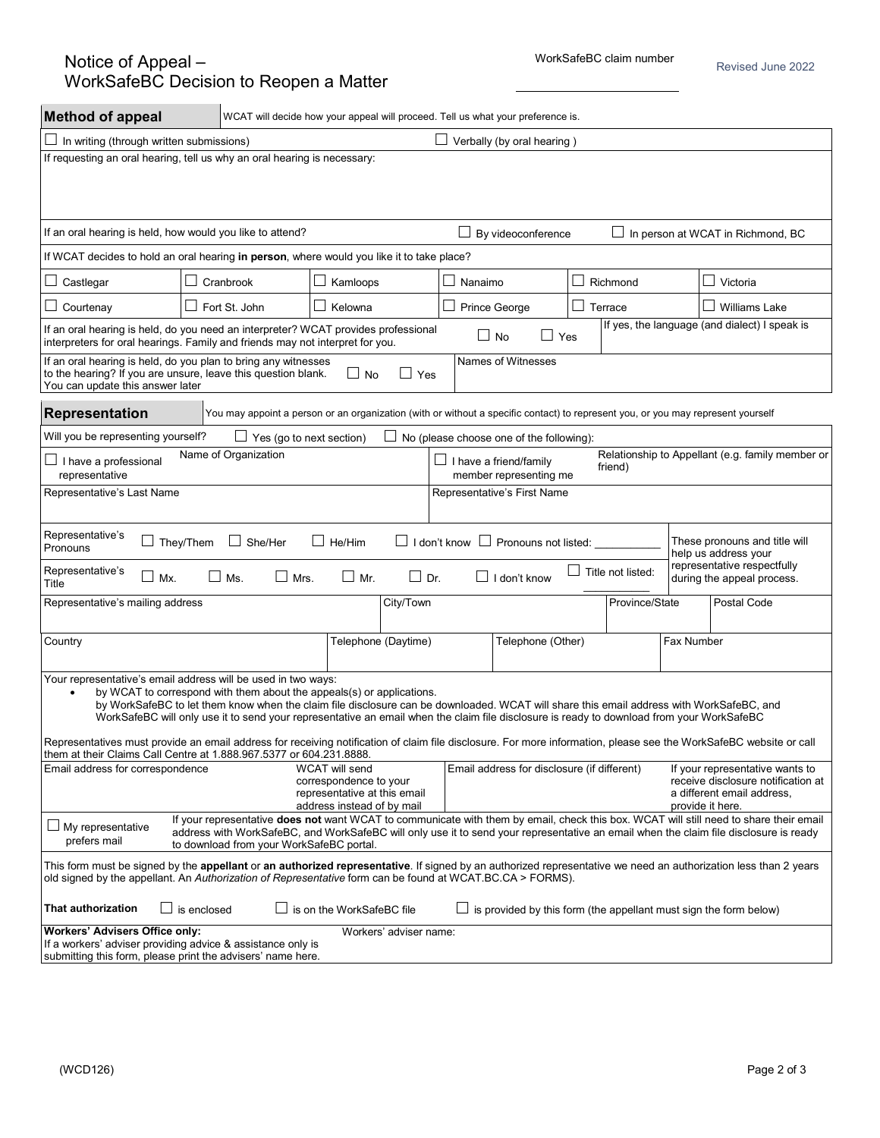Revised June 2022

| <b>Method of appeal</b>                                                                                                                                                                                                                                                                                                                                                                                                                      |                                                                                                                                                                                                                                                                                                                             | WCAT will decide how your appeal will proceed. Tell us what your preference is.                                        |         |                     |                             |            |                                                                          |  |  |  |  |
|----------------------------------------------------------------------------------------------------------------------------------------------------------------------------------------------------------------------------------------------------------------------------------------------------------------------------------------------------------------------------------------------------------------------------------------------|-----------------------------------------------------------------------------------------------------------------------------------------------------------------------------------------------------------------------------------------------------------------------------------------------------------------------------|------------------------------------------------------------------------------------------------------------------------|---------|---------------------|-----------------------------|------------|--------------------------------------------------------------------------|--|--|--|--|
| $\Box$ Verbally (by oral hearing)<br>In writing (through written submissions)                                                                                                                                                                                                                                                                                                                                                                |                                                                                                                                                                                                                                                                                                                             |                                                                                                                        |         |                     |                             |            |                                                                          |  |  |  |  |
| If requesting an oral hearing, tell us why an oral hearing is necessary:                                                                                                                                                                                                                                                                                                                                                                     |                                                                                                                                                                                                                                                                                                                             |                                                                                                                        |         |                     |                             |            |                                                                          |  |  |  |  |
|                                                                                                                                                                                                                                                                                                                                                                                                                                              |                                                                                                                                                                                                                                                                                                                             |                                                                                                                        |         |                     |                             |            |                                                                          |  |  |  |  |
| If an oral hearing is held, how would you like to attend?                                                                                                                                                                                                                                                                                                                                                                                    |                                                                                                                                                                                                                                                                                                                             |                                                                                                                        |         | By videoconference  |                             |            | In person at WCAT in Richmond, BC                                        |  |  |  |  |
| If WCAT decides to hold an oral hearing in person, where would you like it to take place?                                                                                                                                                                                                                                                                                                                                                    |                                                                                                                                                                                                                                                                                                                             |                                                                                                                        |         |                     |                             |            |                                                                          |  |  |  |  |
| Castlegar                                                                                                                                                                                                                                                                                                                                                                                                                                    | $\Box$ Cranbrook                                                                                                                                                                                                                                                                                                            | Kamloops                                                                                                               | Nanaimo |                     | Richmond                    |            | $\Box$ Victoria                                                          |  |  |  |  |
| Courtenay                                                                                                                                                                                                                                                                                                                                                                                                                                    | Fort St. John                                                                                                                                                                                                                                                                                                               | Kelowna                                                                                                                |         | Prince George       | $\Box$<br>Terrace           |            | Williams Lake                                                            |  |  |  |  |
| If yes, the language (and dialect) I speak is<br>If an oral hearing is held, do you need an interpreter? WCAT provides professional<br>$\square$ No<br>$\Box$ Yes<br>interpreters for oral hearings. Family and friends may not interpret for you.                                                                                                                                                                                           |                                                                                                                                                                                                                                                                                                                             |                                                                                                                        |         |                     |                             |            |                                                                          |  |  |  |  |
| If an oral hearing is held, do you plan to bring any witnesses<br>Names of Witnesses<br>to the hearing? If you are unsure, leave this question blank.<br>$\Box$ No<br>Yes<br>$\mathsf{L}$<br>You can update this answer later                                                                                                                                                                                                                |                                                                                                                                                                                                                                                                                                                             |                                                                                                                        |         |                     |                             |            |                                                                          |  |  |  |  |
| Representation<br>You may appoint a person or an organization (with or without a specific contact) to represent you, or you may represent yourself                                                                                                                                                                                                                                                                                           |                                                                                                                                                                                                                                                                                                                             |                                                                                                                        |         |                     |                             |            |                                                                          |  |  |  |  |
| Will you be representing yourself?<br>$\Box$ Yes (go to next section)<br>No (please choose one of the following):                                                                                                                                                                                                                                                                                                                            |                                                                                                                                                                                                                                                                                                                             |                                                                                                                        |         |                     |                             |            |                                                                          |  |  |  |  |
| I have a professional<br>representative                                                                                                                                                                                                                                                                                                                                                                                                      | Name of Organization                                                                                                                                                                                                                                                                                                        | Relationship to Appellant (e.g. family member or<br>$\Box$ I have a friend/family<br>friend)<br>member representing me |         |                     |                             |            |                                                                          |  |  |  |  |
| Representative's Last Name                                                                                                                                                                                                                                                                                                                                                                                                                   |                                                                                                                                                                                                                                                                                                                             | Representative's First Name                                                                                            |         |                     |                             |            |                                                                          |  |  |  |  |
| Representative's<br>These pronouns and title will<br>$\Box$ I don't know $\Box$ Pronouns not listed:<br>They/Them<br>$\Box$ She/Her<br>$\Box$ He/Him<br>ப<br>Pronouns<br>help us address your                                                                                                                                                                                                                                                |                                                                                                                                                                                                                                                                                                                             |                                                                                                                        |         |                     |                             |            |                                                                          |  |  |  |  |
| Representative's<br>ப<br>Mx.<br>Title                                                                                                                                                                                                                                                                                                                                                                                                        | $\Box$ Mrs.<br>Ms.                                                                                                                                                                                                                                                                                                          | $\Box$ Mr.<br>$\Box$ Dr.                                                                                               |         | $\Box$ I don't know | $\Box$<br>Title not listed: |            | representative respectfully<br>during the appeal process.                |  |  |  |  |
| Representative's mailing address                                                                                                                                                                                                                                                                                                                                                                                                             |                                                                                                                                                                                                                                                                                                                             | City/Town                                                                                                              |         |                     | Province/State              |            | Postal Code                                                              |  |  |  |  |
| Country                                                                                                                                                                                                                                                                                                                                                                                                                                      |                                                                                                                                                                                                                                                                                                                             | Telephone (Daytime)                                                                                                    |         | Telephone (Other)   |                             | Fax Number |                                                                          |  |  |  |  |
| Your representative's email address will be used in two ways:<br>by WCAT to correspond with them about the appeals(s) or applications.<br>$\bullet$<br>by WorkSafeBC to let them know when the claim file disclosure can be downloaded. WCAT will share this email address with WorkSafeBC, and<br>WorkSafeBC will only use it to send your representative an email when the claim file disclosure is ready to download from your WorkSafeBC |                                                                                                                                                                                                                                                                                                                             |                                                                                                                        |         |                     |                             |            |                                                                          |  |  |  |  |
| Representatives must provide an email address for receiving notification of claim file disclosure. For more information, please see the WorkSafeBC website or call<br>them at their Claims Call Centre at 1.888.967.5377 or 604.231.8888.                                                                                                                                                                                                    |                                                                                                                                                                                                                                                                                                                             |                                                                                                                        |         |                     |                             |            |                                                                          |  |  |  |  |
| Email address for correspondence                                                                                                                                                                                                                                                                                                                                                                                                             | Email address for disclosure (if different)<br>If your representative wants to<br>receive disclosure notification at<br>representative at this email<br>a different email address.<br>provide it here.                                                                                                                      |                                                                                                                        |         |                     |                             |            |                                                                          |  |  |  |  |
| $\Box$ My representative<br>prefers mail                                                                                                                                                                                                                                                                                                                                                                                                     | If your representative does not want WCAT to communicate with them by email, check this box. WCAT will still need to share their email<br>address with WorkSafeBC, and WorkSafeBC will only use it to send your representative an email when the claim file disclosure is ready<br>to download from your WorkSafeBC portal. |                                                                                                                        |         |                     |                             |            |                                                                          |  |  |  |  |
| This form must be signed by the appellant or an authorized representative. If signed by an authorized representative we need an authorization less than 2 years<br>old signed by the appellant. An Authorization of Representative form can be found at WCAT.BC.CA > FORMS).                                                                                                                                                                 |                                                                                                                                                                                                                                                                                                                             |                                                                                                                        |         |                     |                             |            |                                                                          |  |  |  |  |
| That authorization                                                                                                                                                                                                                                                                                                                                                                                                                           | is enclosed                                                                                                                                                                                                                                                                                                                 | $\Box$ is on the WorkSafeBC file                                                                                       |         |                     |                             |            | $\Box$ is provided by this form (the appellant must sign the form below) |  |  |  |  |
| <b>Workers' Advisers Office only:</b><br>If a workers' adviser providing advice & assistance only is<br>submitting this form, please print the advisers' name here.                                                                                                                                                                                                                                                                          |                                                                                                                                                                                                                                                                                                                             | Workers' adviser name:                                                                                                 |         |                     |                             |            |                                                                          |  |  |  |  |